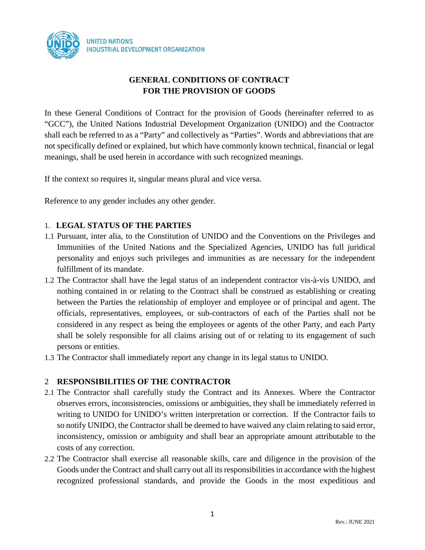

# **GENERAL CONDITIONS OF CONTRACT FOR THE PROVISION OF GOODS**

In these General Conditions of Contract for the provision of Goods (hereinafter referred to as "GCC"), the United Nations Industrial Development Organization (UNIDO) and the Contractor shall each be referred to as a "Party" and collectively as "Parties". Words and abbreviations that are not specifically defined or explained, but which have commonly known technical, financial or legal meanings, shall be used herein in accordance with such recognized meanings.

If the context so requires it, singular means plural and vice versa.

Reference to any gender includes any other gender.

# 1. **LEGAL STATUS OF THE PARTIES**

- 1.1 Pursuant, inter alia, to the Constitution of UNIDO and the Conventions on the Privileges and Immunities of the United Nations and the Specialized Agencies, UNIDO has full juridical personality and enjoys such privileges and immunities as are necessary for the independent fulfillment of its mandate.
- 1.2 The Contractor shall have the legal status of an independent contractor vis-à-vis UNIDO, and nothing contained in or relating to the Contract shall be construed as establishing or creating between the Parties the relationship of employer and employee or of principal and agent. The officials, representatives, employees, or sub-contractors of each of the Parties shall not be considered in any respect as being the employees or agents of the other Party, and each Party shall be solely responsible for all claims arising out of or relating to its engagement of such persons or entities.
- 1.3 The Contractor shall immediately report any change in its legal status to UNIDO.

#### 2 **RESPONSIBILITIES OF THE CONTRACTOR**

- 2.1 The Contractor shall carefully study the Contract and its Annexes. Where the Contractor observes errors, inconsistencies, omissions or ambiguities, they shall be immediately referred in writing to UNIDO for UNIDO's written interpretation or correction. If the Contractor fails to so notify UNIDO, the Contractor shall be deemed to have waived any claim relating to said error, inconsistency, omission or ambiguity and shall bear an appropriate amount attributable to the costs of any correction.
- 2.2 The Contractor shall exercise all reasonable skills, care and diligence in the provision of the Goods under the Contract and shall carry out all its responsibilities in accordance with the highest recognized professional standards, and provide the Goods in the most expeditious and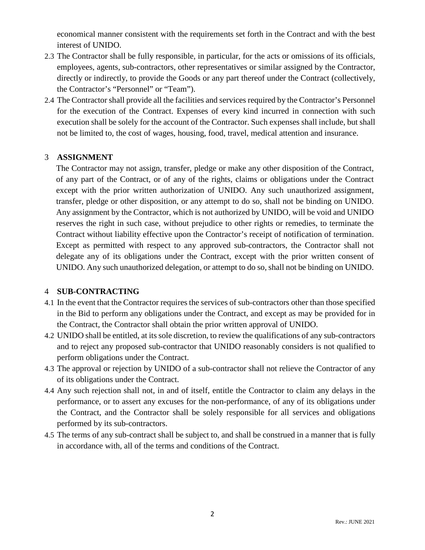economical manner consistent with the requirements set forth in the Contract and with the best interest of UNIDO.

- 2.3 The Contractor shall be fully responsible, in particular, for the acts or omissions of its officials, employees, agents, sub-contractors, other representatives or similar assigned by the Contractor, directly or indirectly, to provide the Goods or any part thereof under the Contract (collectively, the Contractor's "Personnel" or "Team").
- 2.4 The Contractor shall provide all the facilities and services required by the Contractor's Personnel for the execution of the Contract. Expenses of every kind incurred in connection with such execution shall be solely for the account of the Contractor. Such expenses shall include, but shall not be limited to, the cost of wages, housing, food, travel, medical attention and insurance.

### 3 **ASSIGNMENT**

The Contractor may not assign, transfer, pledge or make any other disposition of the Contract, of any part of the Contract, or of any of the rights, claims or obligations under the Contract except with the prior written authorization of UNIDO. Any such unauthorized assignment, transfer, pledge or other disposition, or any attempt to do so, shall not be binding on UNIDO. Any assignment by the Contractor, which is not authorized by UNIDO, will be void and UNIDO reserves the right in such case, without prejudice to other rights or remedies, to terminate the Contract without liability effective upon the Contractor's receipt of notification of termination. Except as permitted with respect to any approved sub-contractors, the Contractor shall not delegate any of its obligations under the Contract, except with the prior written consent of UNIDO. Any such unauthorized delegation, or attempt to do so, shall not be binding on UNIDO.

#### 4 **SUB-CONTRACTING**

- 4.1 In the event that the Contractor requires the services of sub-contractors other than those specified in the Bid to perform any obligations under the Contract, and except as may be provided for in the Contract, the Contractor shall obtain the prior written approval of UNIDO.
- 4.2 UNIDO shall be entitled, at its sole discretion, to review the qualifications of any sub-contractors and to reject any proposed sub-contractor that UNIDO reasonably considers is not qualified to perform obligations under the Contract.
- 4.3 The approval or rejection by UNIDO of a sub-contractor shall not relieve the Contractor of any of its obligations under the Contract.
- 4.4 Any such rejection shall not, in and of itself, entitle the Contractor to claim any delays in the performance, or to assert any excuses for the non-performance, of any of its obligations under the Contract, and the Contractor shall be solely responsible for all services and obligations performed by its sub-contractors.
- 4.5 The terms of any sub-contract shall be subject to, and shall be construed in a manner that is fully in accordance with, all of the terms and conditions of the Contract.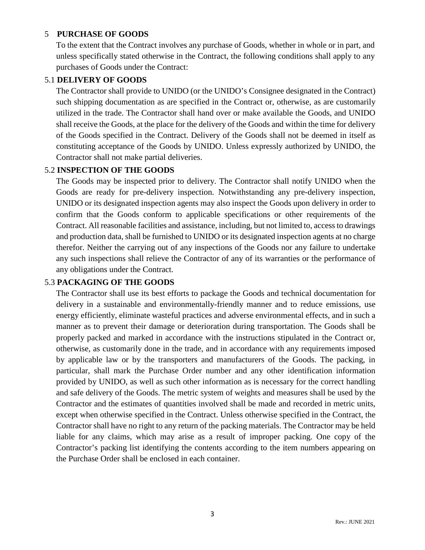## 5 **PURCHASE OF GOODS**

To the extent that the Contract involves any purchase of Goods, whether in whole or in part, and unless specifically stated otherwise in the Contract, the following conditions shall apply to any purchases of Goods under the Contract:

## 5.1 **DELIVERY OF GOODS**

The Contractor shall provide to UNIDO (or the UNIDO's Consignee designated in the Contract) such shipping documentation as are specified in the Contract or, otherwise, as are customarily utilized in the trade. The Contractor shall hand over or make available the Goods, and UNIDO shall receive the Goods, at the place for the delivery of the Goods and within the time for delivery of the Goods specified in the Contract. Delivery of the Goods shall not be deemed in itself as constituting acceptance of the Goods by UNIDO. Unless expressly authorized by UNIDO, the Contractor shall not make partial deliveries.

### 5.2 **INSPECTION OF THE GOODS**

The Goods may be inspected prior to delivery. The Contractor shall notify UNIDO when the Goods are ready for pre-delivery inspection. Notwithstanding any pre-delivery inspection, UNIDO or its designated inspection agents may also inspect the Goods upon delivery in order to confirm that the Goods conform to applicable specifications or other requirements of the Contract. All reasonable facilities and assistance, including, but not limited to, access to drawings and production data, shall be furnished to UNIDO or its designated inspection agents at no charge therefor. Neither the carrying out of any inspections of the Goods nor any failure to undertake any such inspections shall relieve the Contractor of any of its warranties or the performance of any obligations under the Contract.

# 5.3 **PACKAGING OF THE GOODS**

The Contractor shall use its best efforts to package the Goods and technical documentation for delivery in a sustainable and environmentally-friendly manner and to reduce emissions, use energy efficiently, eliminate wasteful practices and adverse environmental effects, and in such a manner as to prevent their damage or deterioration during transportation. The Goods shall be properly packed and marked in accordance with the instructions stipulated in the Contract or, otherwise, as customarily done in the trade, and in accordance with any requirements imposed by applicable law or by the transporters and manufacturers of the Goods. The packing, in particular, shall mark the Purchase Order number and any other identification information provided by UNIDO, as well as such other information as is necessary for the correct handling and safe delivery of the Goods. The metric system of weights and measures shall be used by the Contractor and the estimates of quantities involved shall be made and recorded in metric units, except when otherwise specified in the Contract. Unless otherwise specified in the Contract, the Contractor shall have no right to any return of the packing materials. The Contractor may be held liable for any claims, which may arise as a result of improper packing. One copy of the Contractor's packing list identifying the contents according to the item numbers appearing on the Purchase Order shall be enclosed in each container.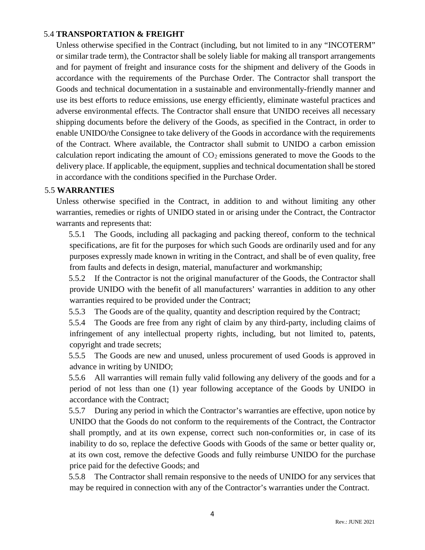## 5.4 **TRANSPORTATION & FREIGHT**

Unless otherwise specified in the Contract (including, but not limited to in any "INCOTERM" or similar trade term), the Contractor shall be solely liable for making all transport arrangements and for payment of freight and insurance costs for the shipment and delivery of the Goods in accordance with the requirements of the Purchase Order. The Contractor shall transport the Goods and technical documentation in a sustainable and environmentally-friendly manner and use its best efforts to reduce emissions, use energy efficiently, eliminate wasteful practices and adverse environmental effects. The Contractor shall ensure that UNIDO receives all necessary shipping documents before the delivery of the Goods, as specified in the Contract, in order to enable UNIDO/the Consignee to take delivery of the Goods in accordance with the requirements of the Contract. Where available, the Contractor shall submit to UNIDO a carbon emission calculation report indicating the amount of  $CO<sub>2</sub>$  emissions generated to move the Goods to the delivery place. If applicable, the equipment, supplies and technical documentation shall be stored in accordance with the conditions specified in the Purchase Order.

#### 5.5 **WARRANTIES**

Unless otherwise specified in the Contract, in addition to and without limiting any other warranties, remedies or rights of UNIDO stated in or arising under the Contract, the Contractor warrants and represents that:

5.5.1 The Goods, including all packaging and packing thereof, conform to the technical specifications, are fit for the purposes for which such Goods are ordinarily used and for any purposes expressly made known in writing in the Contract, and shall be of even quality, free from faults and defects in design, material, manufacturer and workmanship;

5.5.2 If the Contractor is not the original manufacturer of the Goods, the Contractor shall provide UNIDO with the benefit of all manufacturers' warranties in addition to any other warranties required to be provided under the Contract;

5.5.3 The Goods are of the quality, quantity and description required by the Contract;

5.5.4 The Goods are free from any right of claim by any third-party, including claims of infringement of any intellectual property rights, including, but not limited to, patents, copyright and trade secrets;

5.5.5 The Goods are new and unused, unless procurement of used Goods is approved in advance in writing by UNIDO;

5.5.6 All warranties will remain fully valid following any delivery of the goods and for a period of not less than one (1) year following acceptance of the Goods by UNIDO in accordance with the Contract;

5.5.7 During any period in which the Contractor's warranties are effective, upon notice by UNIDO that the Goods do not conform to the requirements of the Contract, the Contractor shall promptly, and at its own expense, correct such non-conformities or, in case of its inability to do so, replace the defective Goods with Goods of the same or better quality or, at its own cost, remove the defective Goods and fully reimburse UNIDO for the purchase price paid for the defective Goods; and

5.5.8 The Contractor shall remain responsive to the needs of UNIDO for any services that may be required in connection with any of the Contractor's warranties under the Contract.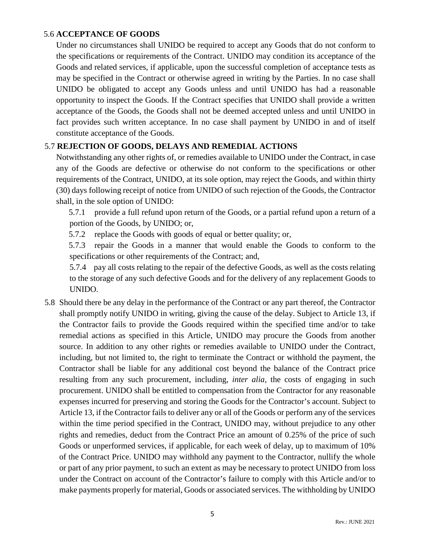## 5.6 **ACCEPTANCE OF GOODS**

Under no circumstances shall UNIDO be required to accept any Goods that do not conform to the specifications or requirements of the Contract. UNIDO may condition its acceptance of the Goods and related services, if applicable, upon the successful completion of acceptance tests as may be specified in the Contract or otherwise agreed in writing by the Parties. In no case shall UNIDO be obligated to accept any Goods unless and until UNIDO has had a reasonable opportunity to inspect the Goods. If the Contract specifies that UNIDO shall provide a written acceptance of the Goods, the Goods shall not be deemed accepted unless and until UNIDO in fact provides such written acceptance. In no case shall payment by UNIDO in and of itself constitute acceptance of the Goods.

#### 5.7 **REJECTION OF GOODS, DELAYS AND REMEDIAL ACTIONS**

Notwithstanding any other rights of, or remedies available to UNIDO under the Contract, in case any of the Goods are defective or otherwise do not conform to the specifications or other requirements of the Contract, UNIDO, at its sole option, may reject the Goods, and within thirty (30) days following receipt of notice from UNIDO of such rejection of the Goods, the Contractor shall, in the sole option of UNIDO:

5.7.1 provide a full refund upon return of the Goods, or a partial refund upon a return of a portion of the Goods, by UNIDO; or,

5.7.2 replace the Goods with goods of equal or better quality; or,

5.7.3 repair the Goods in a manner that would enable the Goods to conform to the specifications or other requirements of the Contract; and,

5.7.4 pay all costs relating to the repair of the defective Goods, as well as the costs relating to the storage of any such defective Goods and for the delivery of any replacement Goods to UNIDO.

5.8 Should there be any delay in the performance of the Contract or any part thereof, the Contractor shall promptly notify UNIDO in writing, giving the cause of the delay. Subject to Article 13, if the Contractor fails to provide the Goods required within the specified time and/or to take remedial actions as specified in this Article, UNIDO may procure the Goods from another source. In addition to any other rights or remedies available to UNIDO under the Contract, including, but not limited to, the right to terminate the Contract or withhold the payment, the Contractor shall be liable for any additional cost beyond the balance of the Contract price resulting from any such procurement, including, *inter alia*, the costs of engaging in such procurement. UNIDO shall be entitled to compensation from the Contractor for any reasonable expenses incurred for preserving and storing the Goods for the Contractor's account. Subject to Article 13, if the Contractor fails to deliver any or all of the Goods or perform any of the services within the time period specified in the Contract, UNIDO may, without prejudice to any other rights and remedies, deduct from the Contract Price an amount of 0.25% of the price of such Goods or unperformed services, if applicable, for each week of delay, up to maximum of 10% of the Contract Price. UNIDO may withhold any payment to the Contractor, nullify the whole or part of any prior payment, to such an extent as may be necessary to protect UNIDO from loss under the Contract on account of the Contractor's failure to comply with this Article and/or to make payments properly for material, Goods or associated services. The withholding by UNIDO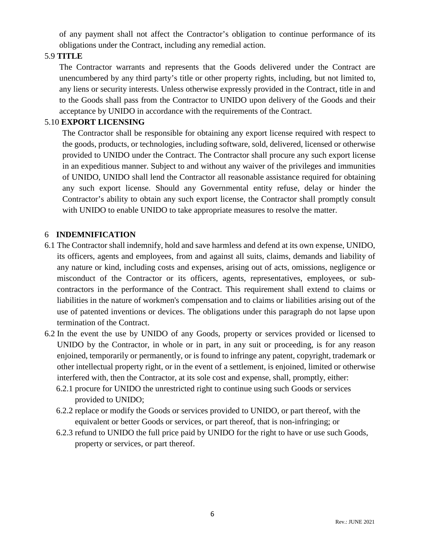of any payment shall not affect the Contractor's obligation to continue performance of its obligations under the Contract, including any remedial action.

# 5.9 **TITLE**

The Contractor warrants and represents that the Goods delivered under the Contract are unencumbered by any third party's title or other property rights, including, but not limited to, any liens or security interests. Unless otherwise expressly provided in the Contract, title in and to the Goods shall pass from the Contractor to UNIDO upon delivery of the Goods and their acceptance by UNIDO in accordance with the requirements of the Contract.

# 5.10 **EXPORT LICENSING**

The Contractor shall be responsible for obtaining any export license required with respect to the goods, products, or technologies, including software, sold, delivered, licensed or otherwise provided to UNIDO under the Contract. The Contractor shall procure any such export license in an expeditious manner. Subject to and without any waiver of the privileges and immunities of UNIDO, UNIDO shall lend the Contractor all reasonable assistance required for obtaining any such export license. Should any Governmental entity refuse, delay or hinder the Contractor's ability to obtain any such export license, the Contractor shall promptly consult with UNIDO to enable UNIDO to take appropriate measures to resolve the matter.

# 6 **INDEMNIFICATION**

- 6.1 The Contractor shall indemnify, hold and save harmless and defend at its own expense, UNIDO, its officers, agents and employees, from and against all suits, claims, demands and liability of any nature or kind, including costs and expenses, arising out of acts, omissions, negligence or misconduct of the Contractor or its officers, agents, representatives, employees, or subcontractors in the performance of the Contract. This requirement shall extend to claims or liabilities in the nature of workmen's compensation and to claims or liabilities arising out of the use of patented inventions or devices. The obligations under this paragraph do not lapse upon termination of the Contract.
- 6.2 In the event the use by UNIDO of any Goods, property or services provided or licensed to UNIDO by the Contractor, in whole or in part, in any suit or proceeding, is for any reason enjoined, temporarily or permanently, or is found to infringe any patent, copyright, trademark or other intellectual property right, or in the event of a settlement, is enjoined, limited or otherwise interfered with, then the Contractor, at its sole cost and expense, shall, promptly, either:
	- 6.2.1 procure for UNIDO the unrestricted right to continue using such Goods or services provided to UNIDO;
	- 6.2.2 replace or modify the Goods or services provided to UNIDO, or part thereof, with the equivalent or better Goods or services, or part thereof, that is non-infringing; or
	- 6.2.3 refund to UNIDO the full price paid by UNIDO for the right to have or use such Goods, property or services, or part thereof.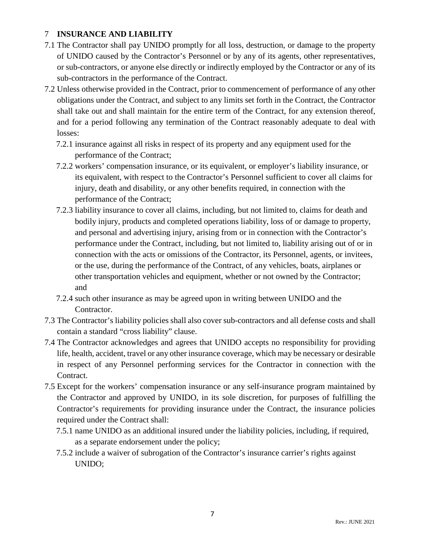# 7 **INSURANCE AND LIABILITY**

- 7.1 The Contractor shall pay UNIDO promptly for all loss, destruction, or damage to the property of UNIDO caused by the Contractor's Personnel or by any of its agents, other representatives, or sub-contractors, or anyone else directly or indirectly employed by the Contractor or any of its sub-contractors in the performance of the Contract.
- 7.2 Unless otherwise provided in the Contract, prior to commencement of performance of any other obligations under the Contract, and subject to any limits set forth in the Contract, the Contractor shall take out and shall maintain for the entire term of the Contract, for any extension thereof, and for a period following any termination of the Contract reasonably adequate to deal with losses:
	- 7.2.1 insurance against all risks in respect of its property and any equipment used for the performance of the Contract;
	- 7.2.2 workers' compensation insurance, or its equivalent, or employer's liability insurance, or its equivalent, with respect to the Contractor's Personnel sufficient to cover all claims for injury, death and disability, or any other benefits required, in connection with the performance of the Contract;
	- 7.2.3 liability insurance to cover all claims, including, but not limited to, claims for death and bodily injury, products and completed operations liability, loss of or damage to property, and personal and advertising injury, arising from or in connection with the Contractor's performance under the Contract, including, but not limited to, liability arising out of or in connection with the acts or omissions of the Contractor, its Personnel, agents, or invitees, or the use, during the performance of the Contract, of any vehicles, boats, airplanes or other transportation vehicles and equipment, whether or not owned by the Contractor; and
	- 7.2.4 such other insurance as may be agreed upon in writing between UNIDO and the Contractor.
- 7.3 The Contractor's liability policies shall also cover sub-contractors and all defense costs and shall contain a standard "cross liability" clause.
- 7.4 The Contractor acknowledges and agrees that UNIDO accepts no responsibility for providing life, health, accident, travel or any other insurance coverage, which may be necessary or desirable in respect of any Personnel performing services for the Contractor in connection with the Contract.
- 7.5 Except for the workers' compensation insurance or any self-insurance program maintained by the Contractor and approved by UNIDO, in its sole discretion, for purposes of fulfilling the Contractor's requirements for providing insurance under the Contract, the insurance policies required under the Contract shall:
	- 7.5.1 name UNIDO as an additional insured under the liability policies, including, if required, as a separate endorsement under the policy;
	- 7.5.2 include a waiver of subrogation of the Contractor's insurance carrier's rights against UNIDO;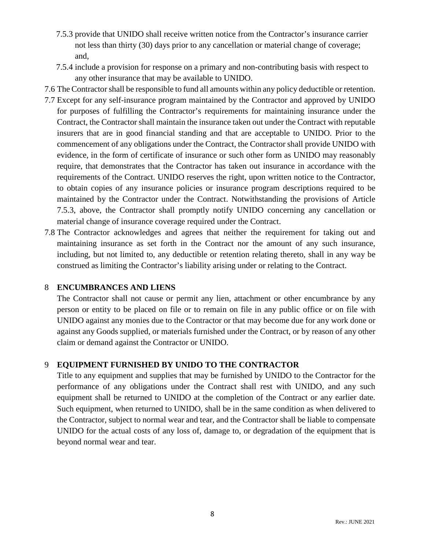- 7.5.3 provide that UNIDO shall receive written notice from the Contractor's insurance carrier not less than thirty (30) days prior to any cancellation or material change of coverage; and,
- 7.5.4 include a provision for response on a primary and non-contributing basis with respect to any other insurance that may be available to UNIDO.
- 7.6 The Contractor shall be responsible to fund all amounts within any policy deductible or retention.
- 7.7 Except for any self-insurance program maintained by the Contractor and approved by UNIDO for purposes of fulfilling the Contractor's requirements for maintaining insurance under the Contract, the Contractor shall maintain the insurance taken out under the Contract with reputable insurers that are in good financial standing and that are acceptable to UNIDO. Prior to the commencement of any obligations under the Contract, the Contractor shall provide UNIDO with evidence, in the form of certificate of insurance or such other form as UNIDO may reasonably require, that demonstrates that the Contractor has taken out insurance in accordance with the requirements of the Contract. UNIDO reserves the right, upon written notice to the Contractor, to obtain copies of any insurance policies or insurance program descriptions required to be maintained by the Contractor under the Contract. Notwithstanding the provisions of Article 7.5.3, above, the Contractor shall promptly notify UNIDO concerning any cancellation or material change of insurance coverage required under the Contract.
- 7.8 The Contractor acknowledges and agrees that neither the requirement for taking out and maintaining insurance as set forth in the Contract nor the amount of any such insurance, including, but not limited to, any deductible or retention relating thereto, shall in any way be construed as limiting the Contractor's liability arising under or relating to the Contract.

# 8 **ENCUMBRANCES AND LIENS**

The Contractor shall not cause or permit any lien, attachment or other encumbrance by any person or entity to be placed on file or to remain on file in any public office or on file with UNIDO against any monies due to the Contractor or that may become due for any work done or against any Goods supplied, or materials furnished under the Contract, or by reason of any other claim or demand against the Contractor or UNIDO.

# 9 **EQUIPMENT FURNISHED BY UNIDO TO THE CONTRACTOR**

Title to any equipment and supplies that may be furnished by UNIDO to the Contractor for the performance of any obligations under the Contract shall rest with UNIDO, and any such equipment shall be returned to UNIDO at the completion of the Contract or any earlier date. Such equipment, when returned to UNIDO, shall be in the same condition as when delivered to the Contractor, subject to normal wear and tear, and the Contractor shall be liable to compensate UNIDO for the actual costs of any loss of, damage to, or degradation of the equipment that is beyond normal wear and tear.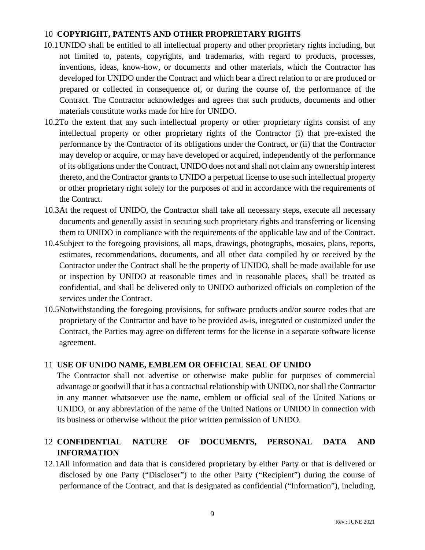# 10 **COPYRIGHT, PATENTS AND OTHER PROPRIETARY RIGHTS**

- 10.1UNIDO shall be entitled to all intellectual property and other proprietary rights including, but not limited to, patents, copyrights, and trademarks, with regard to products, processes, inventions, ideas, know-how, or documents and other materials, which the Contractor has developed for UNIDO under the Contract and which bear a direct relation to or are produced or prepared or collected in consequence of, or during the course of, the performance of the Contract. The Contractor acknowledges and agrees that such products, documents and other materials constitute works made for hire for UNIDO.
- 10.2To the extent that any such intellectual property or other proprietary rights consist of any intellectual property or other proprietary rights of the Contractor (i) that pre-existed the performance by the Contractor of its obligations under the Contract, or (ii) that the Contractor may develop or acquire, or may have developed or acquired, independently of the performance of its obligations under the Contract, UNIDO does not and shall not claim any ownership interest thereto, and the Contractor grants to UNIDO a perpetual license to use such intellectual property or other proprietary right solely for the purposes of and in accordance with the requirements of the Contract.
- 10.3At the request of UNIDO, the Contractor shall take all necessary steps, execute all necessary documents and generally assist in securing such proprietary rights and transferring or licensing them to UNIDO in compliance with the requirements of the applicable law and of the Contract.
- 10.4Subject to the foregoing provisions, all maps, drawings, photographs, mosaics, plans, reports, estimates, recommendations, documents, and all other data compiled by or received by the Contractor under the Contract shall be the property of UNIDO, shall be made available for use or inspection by UNIDO at reasonable times and in reasonable places, shall be treated as confidential, and shall be delivered only to UNIDO authorized officials on completion of the services under the Contract.
- 10.5Notwithstanding the foregoing provisions, for software products and/or source codes that are proprietary of the Contractor and have to be provided as-is, integrated or customized under the Contract, the Parties may agree on different terms for the license in a separate software license agreement.

# 11 **USE OF UNIDO NAME, EMBLEM OR OFFICIAL SEAL OF UNIDO**

The Contractor shall not advertise or otherwise make public for purposes of commercial advantage or goodwill that it has a contractual relationship with UNIDO, nor shall the Contractor in any manner whatsoever use the name, emblem or official seal of the United Nations or UNIDO, or any abbreviation of the name of the United Nations or UNIDO in connection with its business or otherwise without the prior written permission of UNIDO.

# 12 **CONFIDENTIAL NATURE OF DOCUMENTS, PERSONAL DATA AND INFORMATION**

12.1All information and data that is considered proprietary by either Party or that is delivered or disclosed by one Party ("Discloser") to the other Party ("Recipient") during the course of performance of the Contract, and that is designated as confidential ("Information"), including,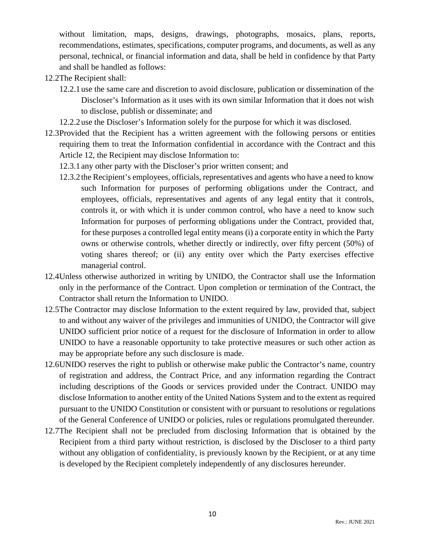without limitation, maps, designs, drawings, photographs, mosaics, plans, reports, recommendations, estimates, specifications, computer programs, and documents, as well as any personal, technical, or financial information and data, shall be held in confidence by that Party and shall be handled as follows:

- 12.2The Recipient shall:
	- 12.2.1 use the same care and discretion to avoid disclosure, publication or dissemination of the Discloser's Information as it uses with its own similar Information that it does not wish to disclose, publish or disseminate; and
	- 12.2.2 use the Discloser's Information solely for the purpose for which it was disclosed.
- 12.3Provided that the Recipient has a written agreement with the following persons or entities requiring them to treat the Information confidential in accordance with the Contract and this Article 12, the Recipient may disclose Information to:
	- 12.3.1 any other party with the Discloser's prior written consent; and
	- 12.3.2 the Recipient's employees, officials, representatives and agents who have a need to know such Information for purposes of performing obligations under the Contract, and employees, officials, representatives and agents of any legal entity that it controls, controls it, or with which it is under common control, who have a need to know such Information for purposes of performing obligations under the Contract, provided that, for these purposes a controlled legal entity means (i) a corporate entity in which the Party owns or otherwise controls, whether directly or indirectly, over fifty percent (50%) of voting shares thereof; or (ii) any entity over which the Party exercises effective managerial control.
- 12.4Unless otherwise authorized in writing by UNIDO, the Contractor shall use the Information only in the performance of the Contract. Upon completion or termination of the Contract, the Contractor shall return the Information to UNIDO.
- 12.5The Contractor may disclose Information to the extent required by law, provided that, subject to and without any waiver of the privileges and immunities of UNIDO, the Contractor will give UNIDO sufficient prior notice of a request for the disclosure of Information in order to allow UNIDO to have a reasonable opportunity to take protective measures or such other action as may be appropriate before any such disclosure is made.
- 12.6UNIDO reserves the right to publish or otherwise make public the Contractor's name, country of registration and address, the Contract Price, and any information regarding the Contract including descriptions of the Goods or services provided under the Contract. UNIDO may disclose Information to another entity of the United Nations System and to the extent as required pursuant to the UNIDO Constitution or consistent with or pursuant to resolutions or regulations of the General Conference of UNIDO or policies, rules or regulations promulgated thereunder.
- 12.7The Recipient shall not be precluded from disclosing Information that is obtained by the Recipient from a third party without restriction, is disclosed by the Discloser to a third party without any obligation of confidentiality, is previously known by the Recipient, or at any time is developed by the Recipient completely independently of any disclosures hereunder.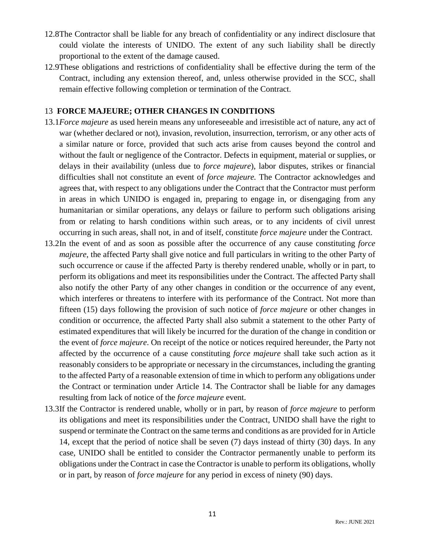- 12.8The Contractor shall be liable for any breach of confidentiality or any indirect disclosure that could violate the interests of UNIDO. The extent of any such liability shall be directly proportional to the extent of the damage caused.
- 12.9These obligations and restrictions of confidentiality shall be effective during the term of the Contract, including any extension thereof, and, unless otherwise provided in the SCC, shall remain effective following completion or termination of the Contract.

### 13 **FORCE MAJEURE; OTHER CHANGES IN CONDITIONS**

- 13.1*Force majeure* as used herein means any unforeseeable and irresistible act of nature, any act of war (whether declared or not), invasion, revolution, insurrection, terrorism, or any other acts of a similar nature or force, provided that such acts arise from causes beyond the control and without the fault or negligence of the Contractor. Defects in equipment, material or supplies, or delays in their availability (unless due to *force majeure*), labor disputes, strikes or financial difficulties shall not constitute an event of *force majeure.* The Contractor acknowledges and agrees that, with respect to any obligations under the Contract that the Contractor must perform in areas in which UNIDO is engaged in, preparing to engage in, or disengaging from any humanitarian or similar operations, any delays or failure to perform such obligations arising from or relating to harsh conditions within such areas, or to any incidents of civil unrest occurring in such areas, shall not, in and of itself, constitute *force majeure* under the Contract.
- 13.2In the event of and as soon as possible after the occurrence of any cause constituting *force majeure*, the affected Party shall give notice and full particulars in writing to the other Party of such occurrence or cause if the affected Party is thereby rendered unable, wholly or in part, to perform its obligations and meet its responsibilities under the Contract. The affected Party shall also notify the other Party of any other changes in condition or the occurrence of any event, which interferes or threatens to interfere with its performance of the Contract. Not more than fifteen (15) days following the provision of such notice of *force majeure* or other changes in condition or occurrence, the affected Party shall also submit a statement to the other Party of estimated expenditures that will likely be incurred for the duration of the change in condition or the event of *force majeure*. On receipt of the notice or notices required hereunder, the Party not affected by the occurrence of a cause constituting *force majeure* shall take such action as it reasonably considers to be appropriate or necessary in the circumstances, including the granting to the affected Party of a reasonable extension of time in which to perform any obligations under the Contract or termination under Article 14. The Contractor shall be liable for any damages resulting from lack of notice of the *force majeure* event.
- 13.3If the Contractor is rendered unable, wholly or in part, by reason of *force majeure* to perform its obligations and meet its responsibilities under the Contract, UNIDO shall have the right to suspend or terminate the Contract on the same terms and conditions as are provided for in Article 14, except that the period of notice shall be seven (7) days instead of thirty (30) days. In any case, UNIDO shall be entitled to consider the Contractor permanently unable to perform its obligations under the Contract in case the Contractor is unable to perform its obligations, wholly or in part, by reason of *force majeure* for any period in excess of ninety (90) days.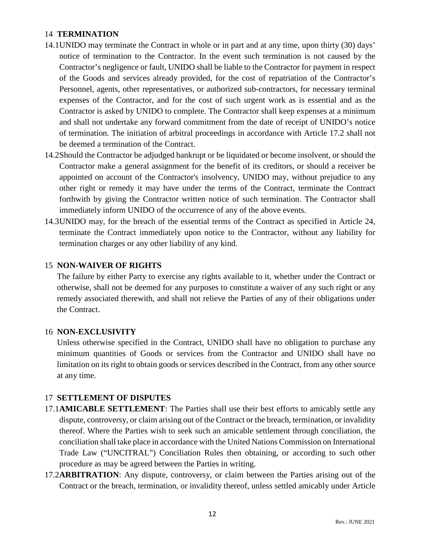# 14 **TERMINATION**

- 14.1UNIDO may terminate the Contract in whole or in part and at any time, upon thirty (30) days' notice of termination to the Contractor. In the event such termination is not caused by the Contractor's negligence or fault, UNIDO shall be liable to the Contractor for payment in respect of the Goods and services already provided, for the cost of repatriation of the Contractor's Personnel, agents, other representatives, or authorized sub-contractors, for necessary terminal expenses of the Contractor, and for the cost of such urgent work as is essential and as the Contractor is asked by UNIDO to complete. The Contractor shall keep expenses at a minimum and shall not undertake any forward commitment from the date of receipt of UNIDO's notice of termination. The initiation of arbitral proceedings in accordance with Article 17.2 shall not be deemed a termination of the Contract.
- 14.2Should the Contractor be adjudged bankrupt or be liquidated or become insolvent, or should the Contractor make a general assignment for the benefit of its creditors, or should a receiver be appointed on account of the Contractor's insolvency, UNIDO may, without prejudice to any other right or remedy it may have under the terms of the Contract, terminate the Contract forthwith by giving the Contractor written notice of such termination. The Contractor shall immediately inform UNIDO of the occurrence of any of the above events.
- 14.3UNIDO may, for the breach of the essential terms of the Contract as specified in Article 24, terminate the Contract immediately upon notice to the Contractor, without any liability for termination charges or any other liability of any kind.

### 15 **NON-WAIVER OF RIGHTS**

The failure by either Party to exercise any rights available to it, whether under the Contract or otherwise, shall not be deemed for any purposes to constitute a waiver of any such right or any remedy associated therewith, and shall not relieve the Parties of any of their obligations under the Contract.

#### 16 **NON-EXCLUSIVITY**

Unless otherwise specified in the Contract, UNIDO shall have no obligation to purchase any minimum quantities of Goods or services from the Contractor and UNIDO shall have no limitation on its right to obtain goods or services described in the Contract, from any other source at any time.

#### 17 **SETTLEMENT OF DISPUTES**

- 17.1**AMICABLE SETTLEMENT**: The Parties shall use their best efforts to amicably settle any dispute, controversy, or claim arising out of the Contract or the breach, termination, or invalidity thereof. Where the Parties wish to seek such an amicable settlement through conciliation, the conciliation shall take place in accordance with the United Nations Commission on International Trade Law ("UNCITRAL") Conciliation Rules then obtaining, or according to such other procedure as may be agreed between the Parties in writing.
- 17.2**ARBITRATION**: Any dispute, controversy, or claim between the Parties arising out of the Contract or the breach, termination, or invalidity thereof, unless settled amicably under Article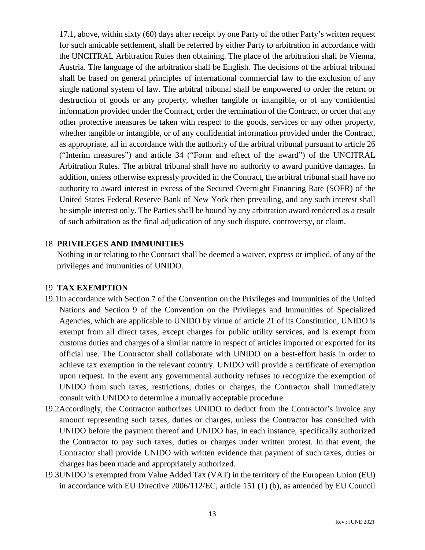17.1, above, within sixty (60) days after receipt by one Party of the other Party's written request for such amicable settlement, shall be referred by either Party to arbitration in accordance with the UNCITRAL Arbitration Rules then obtaining. The place of the arbitration shall be Vienna, Austria. The language of the arbitration shall be English. The decisions of the arbitral tribunal shall be based on general principles of international commercial law to the exclusion of any single national system of law. The arbitral tribunal shall be empowered to order the return or destruction of goods or any property, whether tangible or intangible, or of any confidential information provided under the Contract, order the termination of the Contract, or order that any other protective measures be taken with respect to the goods, services or any other property, whether tangible or intangible, or of any confidential information provided under the Contract, as appropriate, all in accordance with the authority of the arbitral tribunal pursuant to article 26 ("Interim measures") and article 34 ("Form and effect of the award") of the UNCITRAL Arbitration Rules. The arbitral tribunal shall have no authority to award punitive damages. In addition, unless otherwise expressly provided in the Contract, the arbitral tribunal shall have no authority to award interest in excess of the Secured Overnight Financing Rate (SOFR) of the United States Federal Reserve Bank of New York then prevailing, and any such interest shall be simple interest only. The Parties shall be bound by any arbitration award rendered as a result of such arbitration as the final adjudication of any such dispute, controversy, or claim.

#### 18 **PRIVILEGES AND IMMUNITIES**

Nothing in or relating to the Contract shall be deemed a waiver, express or implied, of any of the privileges and immunities of UNIDO.

# 19 **TAX EXEMPTION**

- 19.1In accordance with Section 7 of the Convention on the Privileges and Immunities of the United Nations and Section 9 of the Convention on the Privileges and Immunities of Specialized Agencies, which are applicable to UNIDO by virtue of article 21 of its Constitution, UNIDO is exempt from all direct taxes, except charges for public utility services, and is exempt from customs duties and charges of a similar nature in respect of articles imported or exported for its official use. The Contractor shall collaborate with UNIDO on a best-effort basis in order to achieve tax exemption in the relevant country. UNIDO will provide a certificate of exemption upon request. In the event any governmental authority refuses to recognize the exemption of UNIDO from such taxes, restrictions, duties or charges, the Contractor shall immediately consult with UNIDO to determine a mutually acceptable procedure.
- 19.2Accordingly, the Contractor authorizes UNIDO to deduct from the Contractor's invoice any amount representing such taxes, duties or charges, unless the Contractor has consulted with UNIDO before the payment thereof and UNIDO has, in each instance, specifically authorized the Contractor to pay such taxes, duties or charges under written protest. In that event, the Contractor shall provide UNIDO with written evidence that payment of such taxes, duties or charges has been made and appropriately authorized.
- 19.3UNIDO is exempted from Value Added Tax (VAT) in the territory of the European Union (EU) in accordance with EU Directive 2006/112/EC, article 151 (1) (b), as amended by EU Council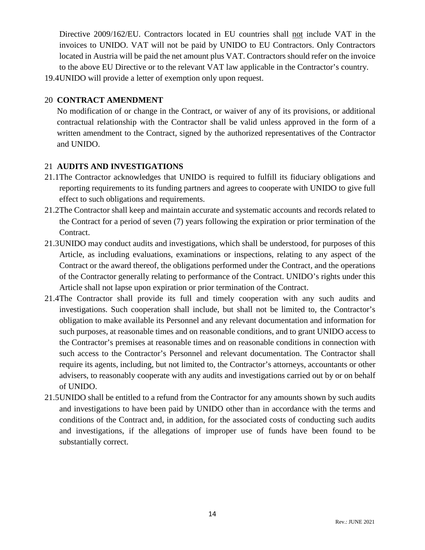Directive 2009/162/EU. Contractors located in EU countries shall not include VAT in the invoices to UNIDO. VAT will not be paid by UNIDO to EU Contractors. Only Contractors located in Austria will be paid the net amount plus VAT. Contractors should refer on the invoice to the above EU Directive or to the relevant VAT law applicable in the Contractor's country.

19.4UNIDO will provide a letter of exemption only upon request.

# 20 **CONTRACT AMENDMENT**

No modification of or change in the Contract, or waiver of any of its provisions, or additional contractual relationship with the Contractor shall be valid unless approved in the form of a written amendment to the Contract, signed by the authorized representatives of the Contractor and UNIDO.

# 21 **AUDITS AND INVESTIGATIONS**

- 21.1The Contractor acknowledges that UNIDO is required to fulfill its fiduciary obligations and reporting requirements to its funding partners and agrees to cooperate with UNIDO to give full effect to such obligations and requirements.
- 21.2The Contractor shall keep and maintain accurate and systematic accounts and records related to the Contract for a period of seven (7) years following the expiration or prior termination of the Contract.
- 21.3UNIDO may conduct audits and investigations, which shall be understood, for purposes of this Article, as including evaluations, examinations or inspections, relating to any aspect of the Contract or the award thereof, the obligations performed under the Contract, and the operations of the Contractor generally relating to performance of the Contract. UNIDO's rights under this Article shall not lapse upon expiration or prior termination of the Contract.
- 21.4The Contractor shall provide its full and timely cooperation with any such audits and investigations. Such cooperation shall include, but shall not be limited to, the Contractor's obligation to make available its Personnel and any relevant documentation and information for such purposes, at reasonable times and on reasonable conditions, and to grant UNIDO access to the Contractor's premises at reasonable times and on reasonable conditions in connection with such access to the Contractor's Personnel and relevant documentation. The Contractor shall require its agents, including, but not limited to, the Contractor's attorneys, accountants or other advisers, to reasonably cooperate with any audits and investigations carried out by or on behalf of UNIDO.
- 21.5UNIDO shall be entitled to a refund from the Contractor for any amounts shown by such audits and investigations to have been paid by UNIDO other than in accordance with the terms and conditions of the Contract and, in addition, for the associated costs of conducting such audits and investigations, if the allegations of improper use of funds have been found to be substantially correct.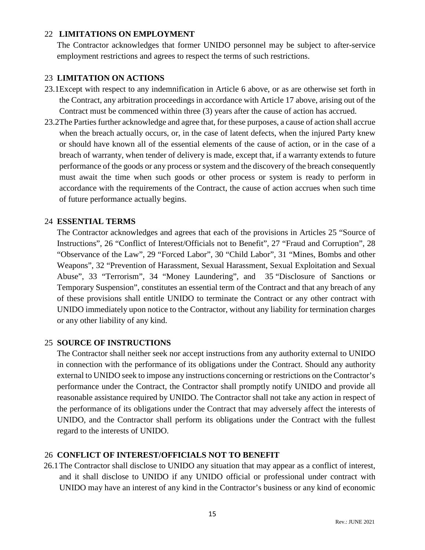# 22 **LIMITATIONS ON EMPLOYMENT**

The Contractor acknowledges that former UNIDO personnel may be subject to after-service employment restrictions and agrees to respect the terms of such restrictions.

# 23 **LIMITATION ON ACTIONS**

- 23.1Except with respect to any indemnification in Article 6 above, or as are otherwise set forth in the Contract, any arbitration proceedings in accordance with Article 17 above, arising out of the Contract must be commenced within three (3) years after the cause of action has accrued.
- 23.2The Parties further acknowledge and agree that, for these purposes, a cause of action shall accrue when the breach actually occurs, or, in the case of latent defects, when the injured Party knew or should have known all of the essential elements of the cause of action, or in the case of a breach of warranty, when tender of delivery is made, except that, if a warranty extends to future performance of the goods or any process or system and the discovery of the breach consequently must await the time when such goods or other process or system is ready to perform in accordance with the requirements of the Contract, the cause of action accrues when such time of future performance actually begins.

# 24 **ESSENTIAL TERMS**

The Contractor acknowledges and agrees that each of the provisions in Articles 25 "Source of Instructions", 26 "Conflict of Interest/Officials not to Benefit", 27 "Fraud and Corruption", 28 "Observance of the Law", 29 "Forced Labor", 30 "Child Labor", 31 "Mines, Bombs and other Weapons", 32 "Prevention of Harassment, Sexual Harassment, Sexual Exploitation and Sexual Abuse", 33 "Terrorism", 34 "Money Laundering", and 35 "Disclosure of Sanctions or Temporary Suspension", constitutes an essential term of the Contract and that any breach of any of these provisions shall entitle UNIDO to terminate the Contract or any other contract with UNIDO immediately upon notice to the Contractor, without any liability for termination charges or any other liability of any kind.

# 25 **SOURCE OF INSTRUCTIONS**

The Contractor shall neither seek nor accept instructions from any authority external to UNIDO in connection with the performance of its obligations under the Contract. Should any authority external to UNIDO seek to impose any instructions concerning or restrictions on the Contractor's performance under the Contract, the Contractor shall promptly notify UNIDO and provide all reasonable assistance required by UNIDO. The Contractor shall not take any action in respect of the performance of its obligations under the Contract that may adversely affect the interests of UNIDO, and the Contractor shall perform its obligations under the Contract with the fullest regard to the interests of UNIDO.

# 26 **CONFLICT OF INTEREST/OFFICIALS NOT TO BENEFIT**

26.1The Contractor shall disclose to UNIDO any situation that may appear as a conflict of interest, and it shall disclose to UNIDO if any UNIDO official or professional under contract with UNIDO may have an interest of any kind in the Contractor's business or any kind of economic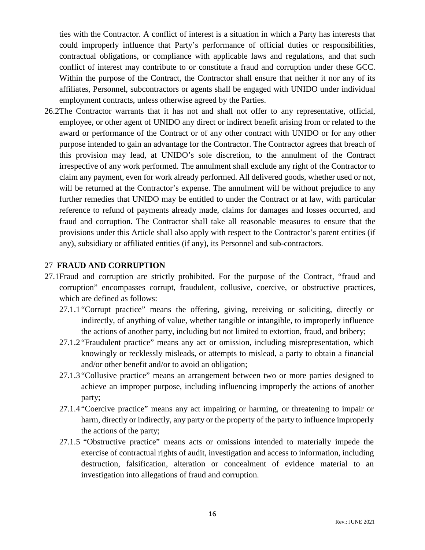ties with the Contractor. A conflict of interest is a situation in which a Party has interests that could improperly influence that Party's performance of official duties or responsibilities, contractual obligations, or compliance with applicable laws and regulations, and that such conflict of interest may contribute to or constitute a fraud and corruption under these GCC. Within the purpose of the Contract, the Contractor shall ensure that neither it nor any of its affiliates, Personnel, subcontractors or agents shall be engaged with UNIDO under individual employment contracts, unless otherwise agreed by the Parties.

26.2The Contractor warrants that it has not and shall not offer to any representative, official, employee, or other agent of UNIDO any direct or indirect benefit arising from or related to the award or performance of the Contract or of any other contract with UNIDO or for any other purpose intended to gain an advantage for the Contractor. The Contractor agrees that breach of this provision may lead, at UNIDO's sole discretion, to the annulment of the Contract irrespective of any work performed. The annulment shall exclude any right of the Contractor to claim any payment, even for work already performed. All delivered goods, whether used or not, will be returned at the Contractor's expense. The annulment will be without prejudice to any further remedies that UNIDO may be entitled to under the Contract or at law, with particular reference to refund of payments already made, claims for damages and losses occurred, and fraud and corruption. The Contractor shall take all reasonable measures to ensure that the provisions under this Article shall also apply with respect to the Contractor's parent entities (if any), subsidiary or affiliated entities (if any), its Personnel and sub-contractors.

#### 27 **FRAUD AND CORRUPTION**

- 27.1Fraud and corruption are strictly prohibited. For the purpose of the Contract, "fraud and corruption" encompasses corrupt, fraudulent, collusive, coercive, or obstructive practices, which are defined as follows:
	- 27.1.1 "Corrupt practice" means the offering, giving, receiving or soliciting, directly or indirectly, of anything of value, whether tangible or intangible, to improperly influence the actions of another party, including but not limited to extortion, fraud, and bribery;
	- 27.1.2 "Fraudulent practice" means any act or omission, including misrepresentation, which knowingly or recklessly misleads, or attempts to mislead, a party to obtain a financial and/or other benefit and/or to avoid an obligation;
	- 27.1.3 "Collusive practice" means an arrangement between two or more parties designed to achieve an improper purpose, including influencing improperly the actions of another party;
	- 27.1.4 "Coercive practice" means any act impairing or harming, or threatening to impair or harm, directly or indirectly, any party or the property of the party to influence improperly the actions of the party;
	- 27.1.5 "Obstructive practice" means acts or omissions intended to materially impede the exercise of contractual rights of audit, investigation and access to information, including destruction, falsification, alteration or concealment of evidence material to an investigation into allegations of fraud and corruption.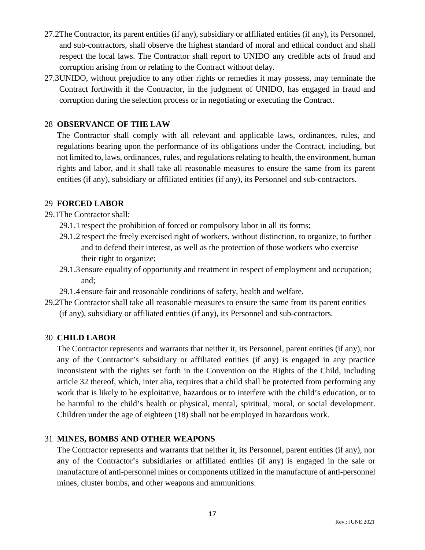- 27.2The Contractor, its parent entities (if any), subsidiary or affiliated entities (if any), its Personnel, and sub-contractors, shall observe the highest standard of moral and ethical conduct and shall respect the local laws. The Contractor shall report to UNIDO any credible acts of fraud and corruption arising from or relating to the Contract without delay.
- 27.3UNIDO, without prejudice to any other rights or remedies it may possess, may terminate the Contract forthwith if the Contractor, in the judgment of UNIDO, has engaged in fraud and corruption during the selection process or in negotiating or executing the Contract.

## 28 **OBSERVANCE OF THE LAW**

The Contractor shall comply with all relevant and applicable laws, ordinances, rules, and regulations bearing upon the performance of its obligations under the Contract, including, but not limited to, laws, ordinances, rules, and regulations relating to health, the environment, human rights and labor, and it shall take all reasonable measures to ensure the same from its parent entities (if any), subsidiary or affiliated entities (if any), its Personnel and sub-contractors.

#### 29 **FORCED LABOR**

29.1The Contractor shall:

- 29.1.1 respect the prohibition of forced or compulsory labor in all its forms;
- 29.1.2 respect the freely exercised right of workers, without distinction, to organize, to further and to defend their interest, as well as the protection of those workers who exercise their right to organize;
- 29.1.3 ensure equality of opportunity and treatment in respect of employment and occupation; and;
- 29.1.4 ensure fair and reasonable conditions of safety, health and welfare.
- 29.2The Contractor shall take all reasonable measures to ensure the same from its parent entities (if any), subsidiary or affiliated entities (if any), its Personnel and sub-contractors.

#### 30 **CHILD LABOR**

The Contractor represents and warrants that neither it, its Personnel, parent entities (if any), nor any of the Contractor's subsidiary or affiliated entities (if any) is engaged in any practice inconsistent with the rights set forth in the Convention on the Rights of the Child, including article 32 thereof, which, inter alia, requires that a child shall be protected from performing any work that is likely to be exploitative, hazardous or to interfere with the child's education, or to be harmful to the child's health or physical, mental, spiritual, moral, or social development. Children under the age of eighteen (18) shall not be employed in hazardous work.

#### 31 **MINES, BOMBS AND OTHER WEAPONS**

The Contractor represents and warrants that neither it, its Personnel, parent entities (if any), nor any of the Contractor's subsidiaries or affiliated entities (if any) is engaged in the sale or manufacture of anti-personnel mines or components utilized in the manufacture of anti-personnel mines, cluster bombs, and other weapons and ammunitions.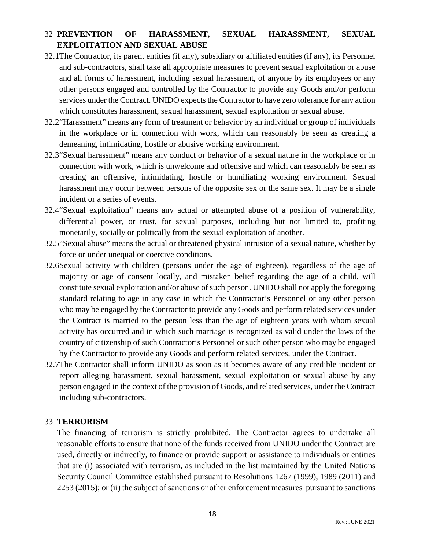# 32 **PREVENTION OF HARASSMENT, SEXUAL HARASSMENT, SEXUAL EXPLOITATION AND SEXUAL ABUSE**

- 32.1The Contractor, its parent entities (if any), subsidiary or affiliated entities (if any), its Personnel and sub-contractors, shall take all appropriate measures to prevent sexual exploitation or abuse and all forms of harassment, including sexual harassment, of anyone by its employees or any other persons engaged and controlled by the Contractor to provide any Goods and/or perform services under the Contract. UNIDO expects the Contractor to have zero tolerance for any action which constitutes harassment, sexual harassment, sexual exploitation or sexual abuse.
- 32.2"Harassment" means any form of treatment or behavior by an individual or group of individuals in the workplace or in connection with work, which can reasonably be seen as creating a demeaning, intimidating, hostile or abusive working environment.
- 32.3"Sexual harassment" means any conduct or behavior of a sexual nature in the workplace or in connection with work, which is unwelcome and offensive and which can reasonably be seen as creating an offensive, intimidating, hostile or humiliating working environment. Sexual harassment may occur between persons of the opposite sex or the same sex. It may be a single incident or a series of events.
- 32.4"Sexual exploitation" means any actual or attempted abuse of a position of vulnerability, differential power, or trust, for sexual purposes, including but not limited to, profiting monetarily, socially or politically from the sexual exploitation of another.
- 32.5"Sexual abuse" means the actual or threatened physical intrusion of a sexual nature, whether by force or under unequal or coercive conditions.
- 32.6Sexual activity with children (persons under the age of eighteen), regardless of the age of majority or age of consent locally, and mistaken belief regarding the age of a child, will constitute sexual exploitation and/or abuse of such person. UNIDO shall not apply the foregoing standard relating to age in any case in which the Contractor's Personnel or any other person who may be engaged by the Contractor to provide any Goods and perform related services under the Contract is married to the person less than the age of eighteen years with whom sexual activity has occurred and in which such marriage is recognized as valid under the laws of the country of citizenship of such Contractor's Personnel or such other person who may be engaged by the Contractor to provide any Goods and perform related services, under the Contract.
- 32.7The Contractor shall inform UNIDO as soon as it becomes aware of any credible incident or report alleging harassment, sexual harassment, sexual exploitation or sexual abuse by any person engaged in the context of the provision of Goods, and related services, under the Contract including sub-contractors.

#### 33 **TERRORISM**

The financing of terrorism is strictly prohibited. The Contractor agrees to undertake all reasonable efforts to ensure that none of the funds received from UNIDO under the Contract are used, directly or indirectly, to finance or provide support or assistance to individuals or entities that are (i) associated with terrorism, as included in the list maintained by the United Nations Security Council Committee established pursuant to Resolutions 1267 (1999), 1989 (2011) and 2253 (2015); or (ii) the subject of sanctions or other enforcement measures pursuant to sanctions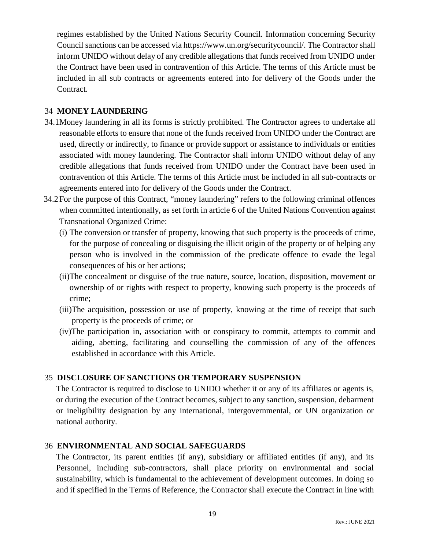regimes established by the United Nations Security Council. Information concerning Security Council sanctions can be accessed via https://www.un.org/securitycouncil/. The Contractor shall inform UNIDO without delay of any credible allegations that funds received from UNIDO under the Contract have been used in contravention of this Article. The terms of this Article must be included in all sub contracts or agreements entered into for delivery of the Goods under the Contract.

## 34 **MONEY LAUNDERING**

- 34.1Money laundering in all its forms is strictly prohibited. The Contractor agrees to undertake all reasonable efforts to ensure that none of the funds received from UNIDO under the Contract are used, directly or indirectly, to finance or provide support or assistance to individuals or entities associated with money laundering. The Contractor shall inform UNIDO without delay of any credible allegations that funds received from UNIDO under the Contract have been used in contravention of this Article. The terms of this Article must be included in all sub-contracts or agreements entered into for delivery of the Goods under the Contract.
- 34.2For the purpose of this Contract, "money laundering" refers to the following criminal offences when committed intentionally, as set forth in article 6 of the United Nations Convention against Transnational Organized Crime:
	- (i) The conversion or transfer of property, knowing that such property is the proceeds of crime, for the purpose of concealing or disguising the illicit origin of the property or of helping any person who is involved in the commission of the predicate offence to evade the legal consequences of his or her actions;
	- (ii)The concealment or disguise of the true nature, source, location, disposition, movement or ownership of or rights with respect to property, knowing such property is the proceeds of crime;
	- (iii)The acquisition, possession or use of property, knowing at the time of receipt that such property is the proceeds of crime; or
	- (iv)The participation in, association with or conspiracy to commit, attempts to commit and aiding, abetting, facilitating and counselling the commission of any of the offences established in accordance with this Article.

# 35 **DISCLOSURE OF SANCTIONS OR TEMPORARY SUSPENSION**

The Contractor is required to disclose to UNIDO whether it or any of its affiliates or agents is, or during the execution of the Contract becomes, subject to any sanction, suspension, debarment or ineligibility designation by any international, intergovernmental, or UN organization or national authority.

#### 36 **ENVIRONMENTAL AND SOCIAL SAFEGUARDS**

The Contractor, its parent entities (if any), subsidiary or affiliated entities (if any), and its Personnel, including sub-contractors, shall place priority on environmental and social sustainability, which is fundamental to the achievement of development outcomes. In doing so and if specified in the Terms of Reference, the Contractor shall execute the Contract in line with